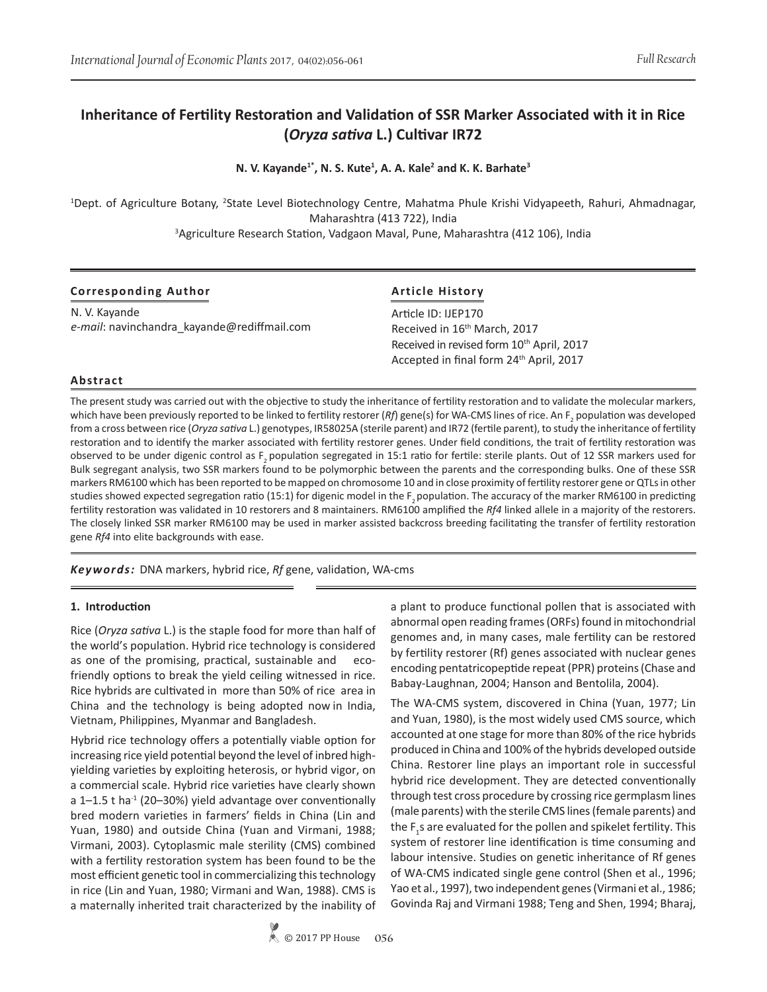# **Inheritance of Fertility Restoration and Validation of SSR Marker Associated with it in Rice (***Oryza sativa* **L.) Cultivar IR72**

**N. V. Kayande1\*, N. S. Kute<sup>1</sup> , A. A. Kale2 and K. K. Barhate<sup>3</sup>**

<sup>1</sup>Dept. of Agriculture Botany, <sup>2</sup>State Level Biotechnology Centre, Mahatma Phule Krishi Vidyapeeth, Rahuri, Ahmadnagar, Maharashtra (413 722), India

3 Agriculture Research Station, Vadgaon Maval, Pune, Maharashtra (412 106), India

| <b>Corresponding Author</b>                                  | <b>Article History</b><br>Article ID: IJEP170<br>Received in 16 <sup>th</sup> March, 2017 |  |  |  |
|--------------------------------------------------------------|-------------------------------------------------------------------------------------------|--|--|--|
| N. V. Kayande<br>e-mail: navinchandra kayande@rediffmail.com |                                                                                           |  |  |  |
|                                                              |                                                                                           |  |  |  |
|                                                              | Accepted in final form 24 <sup>th</sup> April, 2017                                       |  |  |  |

# **Abstract**

The present study was carried out with the objective to study the inheritance of fertility restoration and to validate the molecular markers, which have been previously reported to be linked to fertility restorer (*Rf*) gene(s) for WA-CMS lines of rice. An F<sub>2</sub> population was developed from a cross between rice (*Oryza sativa* L.) genotypes, IR58025A (sterile parent) and IR72 (fertile parent), to study the inheritance of fertility restoration and to identify the marker associated with fertility restorer genes. Under field conditions, the trait of fertility restoration was observed to be under digenic control as F, population segregated in 15:1 ratio for fertile: sterile plants. Out of 12 SSR markers used for Bulk segregant analysis, two SSR markers found to be polymorphic between the parents and the corresponding bulks. One of these SSR markers RM6100 which has been reported to be mapped on chromosome 10 and in close proximity of fertility restorer gene or QTLsin other studies showed expected segregation ratio (15:1) for digenic model in the  $F$ , population. The accuracy of the marker RM6100 in predicting fertility restoration was validated in 10 restorers and 8 maintainers. RM6100 amplified the *Rf4* linked allele in a majority of the restorers. The closely linked SSR marker RM6100 may be used in marker assisted backcross breeding facilitating the transfer of fertility restoration gene *Rf4* into elite backgrounds with ease.

*Keywords:* DNA markers, hybrid rice, *Rf* gene, validation, WA-cms

# **1. Introduction**

Rice (*Oryza sativa* L.) is the staple food for more than half of the world's population. Hybrid rice technology is considered as one of the promising, practical, sustainable and ecofriendly options to break the yield ceiling witnessed in rice. Rice hybrids are cultivated in more than 50% of rice area in China and the technology is being adopted now in India, Vietnam, Philippines, Myanmar and Bangladesh.

Hybrid rice technology offers a potentially viable option for increasing rice yield potential beyond the level of inbred highyielding varieties by exploiting heterosis, or hybrid vigor, on a commercial scale. Hybrid rice varieties have clearly shown a  $1-1.5$  t ha<sup>-1</sup> (20-30%) yield advantage over conventionally bred modern varieties in farmers' fields in China (Lin and Yuan, 1980) and outside China (Yuan and Virmani, 1988; Virmani, 2003). Cytoplasmic male sterility (CMS) combined with a fertility restoration system has been found to be the most efficient genetic tool in commercializing this technology in rice (Lin and Yuan, 1980; Virmani and Wan, 1988). CMS is a maternally inherited trait characterized by the inability of a plant to produce functional pollen that is associated with abnormal open reading frames (ORFs) found in mitochondrial genomes and, in many cases, male fertility can be restored by fertility restorer (Rf) genes associated with nuclear genes encoding pentatricopeptide repeat (PPR) proteins (Chase and Babay-Laughnan, 2004; Hanson and Bentolila, 2004).

The WA-CMS system, discovered in China (Yuan, 1977; Lin and Yuan, 1980), is the most widely used CMS source, which accounted at one stage for more than 80% of the rice hybrids produced in China and 100% of the hybrids developed outside China. Restorer line plays an important role in successful hybrid rice development. They are detected conventionally through test cross procedure by crossing rice germplasm lines (male parents) with the sterile CMS lines (female parents) and the  $F_1$ s are evaluated for the pollen and spikelet fertility. This system of restorer line identification is time consuming and labour intensive. Studies on genetic inheritance of Rf genes of WA-CMS indicated single gene control (Shen et al., 1996; Yao et al., 1997), two independent genes (Virmani et al., 1986; Govinda Raj and Virmani 1988; Teng and Shen, 1994; Bharaj,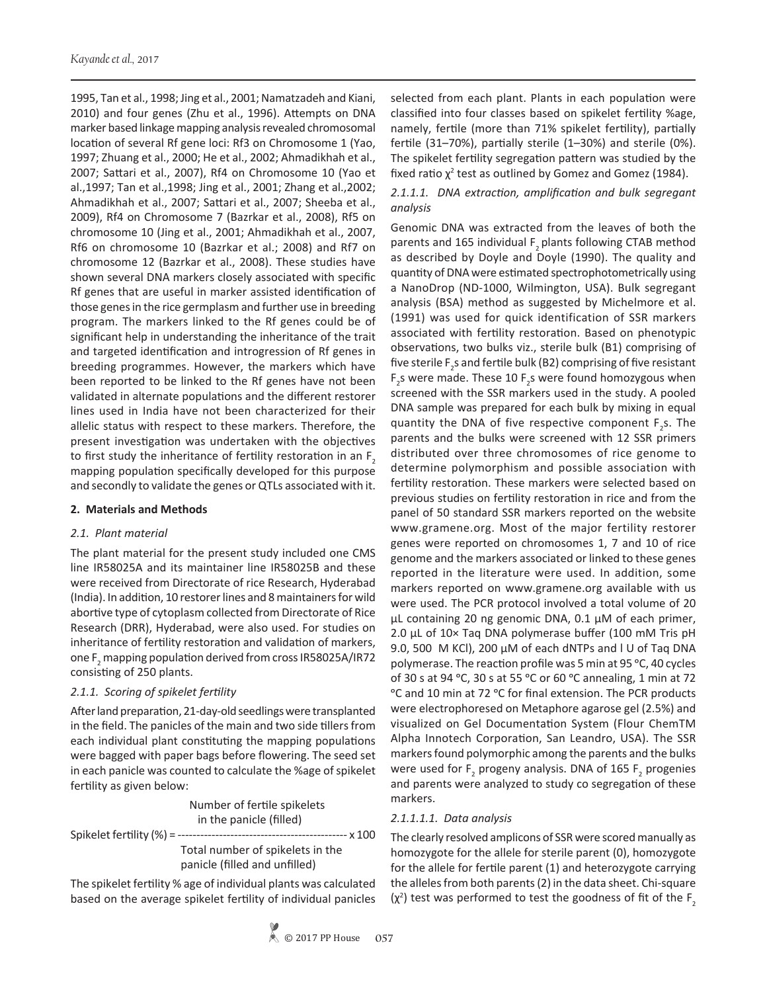1995, Tan et al., 1998; Jing et al., 2001; Namatzadeh and Kiani, 2010) and four genes (Zhu et al., 1996). Attempts on DNA marker based linkage mapping analysis revealed chromosomal location of several Rf gene loci: Rf3 on Chromosome 1 (Yao, 1997; Zhuang et al., 2000; He et al., 2002; Ahmadikhah et al., 2007; Sattari et al., 2007), Rf4 on Chromosome 10 (Yao et al.,1997; Tan et al.,1998; Jing et al., 2001; Zhang et al.,2002; Ahmadikhah et al., 2007; Sattari et al., 2007; Sheeba et al., 2009), Rf4 on Chromosome 7 (Bazrkar et al., 2008), Rf5 on chromosome 10 (Jing et al., 2001; Ahmadikhah et al., 2007, Rf6 on chromosome 10 (Bazrkar et al.; 2008) and Rf7 on chromosome 12 (Bazrkar et al., 2008). These studies have shown several DNA markers closely associated with specific Rf genes that are useful in marker assisted identification of those genes in the rice germplasm and further use in breeding program. The markers linked to the Rf genes could be of significant help in understanding the inheritance of the trait and targeted identification and introgression of Rf genes in breeding programmes. However, the markers which have been reported to be linked to the Rf genes have not been validated in alternate populations and the different restorer lines used in India have not been characterized for their allelic status with respect to these markers. Therefore, the present investigation was undertaken with the objectives to first study the inheritance of fertility restoration in an  $F<sub>2</sub>$ mapping population specifically developed for this purpose and secondly to validate the genes or QTLs associated with it.

# **2. Materials and Methods**

# *2.1. Plant material*

The plant material for the present study included one CMS line IR58025A and its maintainer line IR58025B and these were received from Directorate of rice Research, Hyderabad (India). In addition, 10 restorer lines and 8 maintainers for wild abortive type of cytoplasm collected from Directorate of Rice Research (DRR), Hyderabad, were also used. For studies on inheritance of fertility restoration and validation of markers, one  $F_2$  mapping population derived from cross IR58025A/IR72 consisting of 250 plants.

# *2.1.1. Scoring of spikelet fertility*

After land preparation, 21-day-old seedlings were transplanted in the field. The panicles of the main and two side tillers from each individual plant constituting the mapping populations were bagged with paper bags before flowering. The seed set in each panicle was counted to calculate the %age of spikelet fertility as given below:

|                                   | Number of fertile spikelets<br>in the panicle (filled)            |  |
|-----------------------------------|-------------------------------------------------------------------|--|
| Spikelet fertility $(\%) =$ ----- | -- x 100<br>-----------------------------------                   |  |
|                                   | Total number of spikelets in the<br>panicle (filled and unfilled) |  |

The spikelet fertility % age of individual plants was calculated based on the average spikelet fertility of individual panicles selected from each plant. Plants in each population were classified into four classes based on spikelet fertility %age, namely, fertile (more than 71% spikelet fertility), partially fertile (31–70%), partially sterile (1–30%) and sterile (0%). The spikelet fertility segregation pattern was studied by the fixed ratio  $\chi^2$  test as outlined by Gomez and Gomez (1984).

# *2.1.1.1. DNA extraction, amplification and bulk segregant analysis*

Genomic DNA was extracted from the leaves of both the parents and 165 individual F<sub>2</sub> plants following CTAB method as described by Doyle and Doyle (1990). The quality and quantity of DNA were estimated spectrophotometrically using a NanoDrop (ND-1000, Wilmington, USA). Bulk segregant analysis (BSA) method as suggested by Michelmore et al. (1991) was used for quick identification of SSR markers associated with fertility restoration. Based on phenotypic observations, two bulks viz., sterile bulk (B1) comprising of five sterile F<sub>2</sub>s and fertile bulk (B2) comprising of five resistant  $F_2$ s were made. These 10  $F_2$ s were found homozygous when screened with the SSR markers used in the study. A pooled DNA sample was prepared for each bulk by mixing in equal quantity the DNA of five respective component  $F_2$ s. The parents and the bulks were screened with 12 SSR primers distributed over three chromosomes of rice genome to determine polymorphism and possible association with fertility restoration. These markers were selected based on previous studies on fertility restoration in rice and from the panel of 50 standard SSR markers reported on the website www.gramene.org. Most of the major fertility restorer genes were reported on chromosomes 1, 7 and 10 of rice genome and the markers associated or linked to these genes reported in the literature were used. In addition, some markers reported on www.gramene.org available with us were used. The PCR protocol involved a total volume of 20 μL containing 20 ng genomic DNA, 0.1 μM of each primer, 2.0 μL of 10× Taq DNA polymerase buffer (100 mM Tris pH 9.0, 500 M KCl), 200 μM of each dNTPs and l U of Taq DNA polymerase. The reaction profile was 5 min at 95 °C, 40 cycles of 30 s at 94 °C, 30 s at 55 °C or 60 °C annealing, 1 min at 72 °C and 10 min at 72 °C for final extension. The PCR products were electrophoresed on Metaphore agarose gel (2.5%) and visualized on Gel Documentation System (Flour ChemTM Alpha Innotech Corporation, San Leandro, USA). The SSR markers found polymorphic among the parents and the bulks were used for  $F_2$  progeny analysis. DNA of 165  $F_2$  progenies and parents were analyzed to study co segregation of these markers.

#### *2.1.1.1.1. Data analysis*

The clearly resolved amplicons of SSR were scored manually as homozygote for the allele for sterile parent (0), homozygote for the allele for fertile parent (1) and heterozygote carrying the alleles from both parents (2) in the data sheet. Chi-square  $(\chi^2)$  test was performed to test the goodness of fit of the F<sub>2</sub>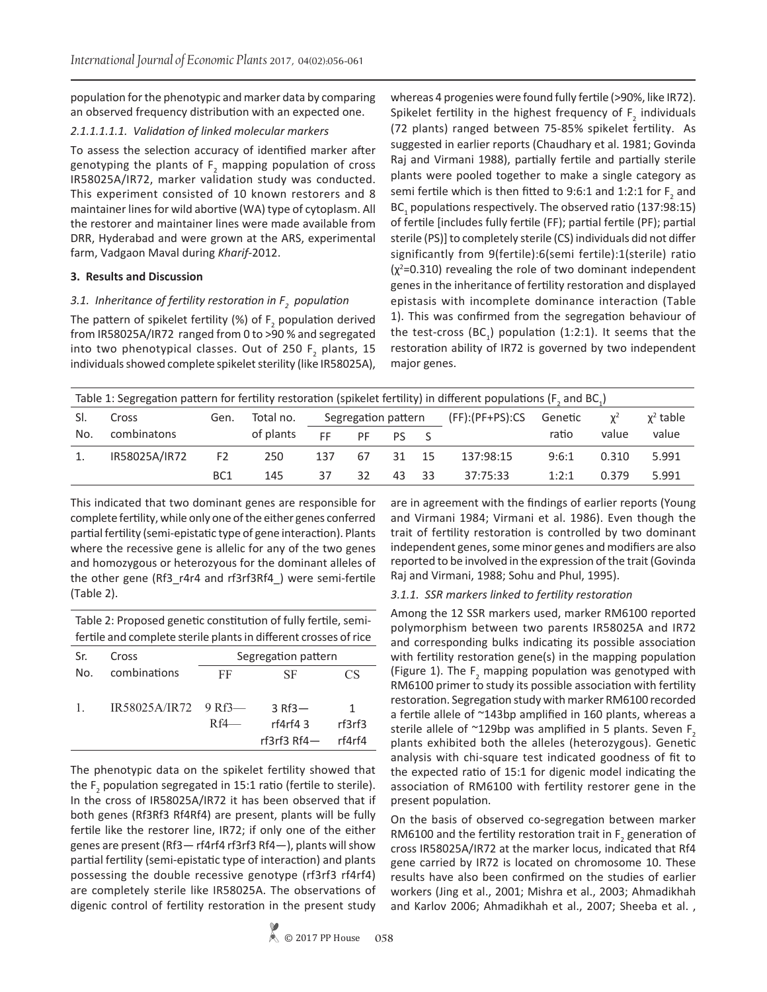population for the phenotypic and marker data by comparing an observed frequency distribution with an expected one.

#### *2.1.1.1.1.1. Validation of linked molecular markers*

To assess the selection accuracy of identified marker after genotyping the plants of  $F_2$  mapping population of cross IR58025A/IR72, marker validation study was conducted. This experiment consisted of 10 known restorers and 8 maintainer lines for wild abortive (WA) type of cytoplasm. All the restorer and maintainer lines were made available from DRR, Hyderabad and were grown at the ARS, experimental farm, Vadgaon Maval during *Kharif*-2012.

#### **3. Results and Discussion**

# *3.1. Inheritance of fertility restoration in F<sup>2</sup> population*

The pattern of spikelet fertility (%) of  $F<sub>2</sub>$  population derived from IR58025A/IR72 ranged from 0 to >90 % and segregated into two phenotypical classes. Out of 250  $F<sub>2</sub>$  plants, 15 individuals showed complete spikelet sterility (like IR58025A),

whereas 4 progenies were found fully fertile (>90%, like IR72). Spikelet fertility in the highest frequency of  $F_2$  individuals (72 plants) ranged between 75-85% spikelet fertility. As suggested in earlier reports (Chaudhary et al. 1981; Govinda Raj and Virmani 1988), partially fertile and partially sterile plants were pooled together to make a single category as semi fertile which is then fitted to 9:6:1 and 1:2:1 for  $F_2$  and  $BC<sub>1</sub>$  populations respectively. The observed ratio (137:98:15) of fertile [includes fully fertile (FF); partial fertile (PF); partial sterile (PS)] to completely sterile (CS) individuals did not differ significantly from 9(fertile):6(semi fertile):1(sterile) ratio  $(x^2=0.310)$  revealing the role of two dominant independent genes in the inheritance of fertility restoration and displayed epistasis with incomplete dominance interaction (Table 1). This was confirmed from the segregation behaviour of the test-cross  $(BC<sub>1</sub>)$  population (1:2:1). It seems that the restoration ability of IR72 is governed by two independent major genes.

| Table 1: Segregation pattern for fertility restoration (spikelet fertility) in different populations (F, and BC,) |               |                 |           |                     |    |                   |         |           |                |       |       |
|-------------------------------------------------------------------------------------------------------------------|---------------|-----------------|-----------|---------------------|----|-------------------|---------|-----------|----------------|-------|-------|
| SI.                                                                                                               | Cross         | Gen.            | Total no. | Segregation pattern |    | $(FF):(PF+PS):CS$ | Genetic | $\chi^2$  | $\chi^2$ table |       |       |
| No.                                                                                                               | combinatons   |                 | of plants | FF.                 | PF | Pς                |         |           | ratio          | value | value |
| 1.                                                                                                                | IR58025A/IR72 | F <sub>2</sub>  | 250       | 137                 | 67 | 31                | - 15    | 137:98:15 | 9:6:1          | 0.310 | 5.991 |
|                                                                                                                   |               | BC <sub>1</sub> | 145       | 37                  | 32 | 43                | - 33    | 37:75:33  | 1:2:1          | 0.379 | 5.991 |

This indicated that two dominant genes are responsible for complete fertility, while only one of the either genes conferred partial fertility (semi-epistatic type of gene interaction). Plants where the recessive gene is allelic for any of the two genes and homozygous or heterozyous for the dominant alleles of the other gene (Rf3\_r4r4 and rf3rf3Rf4\_) were semi-fertile (Table 2).

Table 2: Proposed genetic constitution of fully fertile, semifertile and complete sterile plants in different crosses of rice

| Sr. | Cross                | Segregation pattern |                       |        |  |
|-----|----------------------|---------------------|-----------------------|--------|--|
| No. | combinations         | FF                  | SF                    | CS     |  |
|     |                      |                     |                       |        |  |
| 1.  | IR58025A/IR72 9 Rf3- |                     | $3$ Rf3 $-$           | 1      |  |
|     |                      | $Rf4$ —             | rf4rf43               | rf3rf3 |  |
|     |                      |                     | rf $3$ rf $3$ Rf $4-$ | rf4rf4 |  |
|     |                      |                     |                       |        |  |

The phenotypic data on the spikelet fertility showed that the  $F_2$  population segregated in 15:1 ratio (fertile to sterile). In the cross of IR58025A/IR72 it has been observed that if both genes (Rf3Rf3 Rf4Rf4) are present, plants will be fully fertile like the restorer line, IR72; if only one of the either genes are present (Rf3— rf4rf4 rf3rf3 Rf4—), plants will show partial fertility (semi-epistatic type of interaction) and plants possessing the double recessive genotype (rf3rf3 rf4rf4) are completely sterile like IR58025A. The observations of digenic control of fertility restoration in the present study

are in agreement with the findings of earlier reports (Young and Virmani 1984; Virmani et al. 1986). Even though the trait of fertility restoration is controlled by two dominant independent genes, some minor genes and modifiers are also reported to be involved in the expression of the trait (Govinda Raj and Virmani, 1988; Sohu and Phul, 1995).

#### *3.1.1. SSR markers linked to fertility restoration*

Among the 12 SSR markers used, marker RM6100 reported polymorphism between two parents IR58025A and IR72 and corresponding bulks indicating its possible association with fertility restoration gene(s) in the mapping population (Figure 1). The  $F_2$  mapping population was genotyped with RM6100 primer to study its possible association with fertility restoration. Segregation study with marker RM6100 recorded a fertile allele of ~143bp amplified in 160 plants, whereas a sterile allele of  $\sim$ 129bp was amplified in 5 plants. Seven F<sub>2</sub> plants exhibited both the alleles (heterozygous). Genetic analysis with chi-square test indicated goodness of fit to the expected ratio of 15:1 for digenic model indicating the association of RM6100 with fertility restorer gene in the present population.

On the basis of observed co-segregation between marker RM6100 and the fertility restoration trait in  $F_2$  generation of cross IR58025A/IR72 at the marker locus, indicated that Rf4 gene carried by IR72 is located on chromosome 10. These results have also been confirmed on the studies of earlier workers (Jing et al., 2001; Mishra et al., 2003; Ahmadikhah and Karlov 2006; Ahmadikhah et al., 2007; Sheeba et al. ,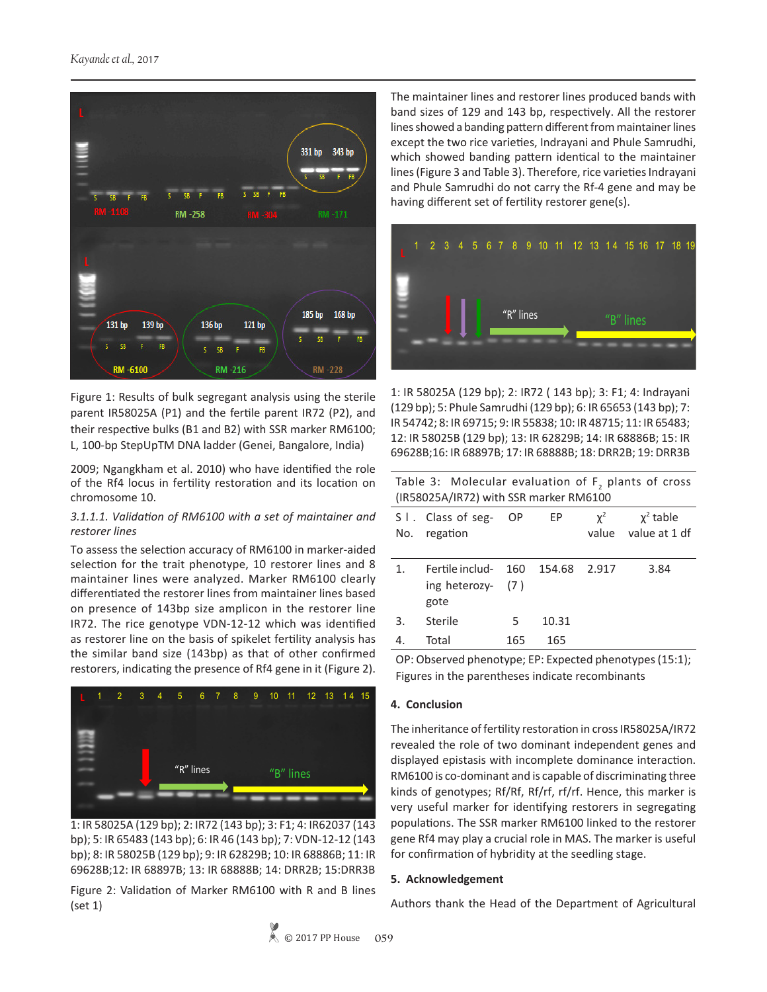

Figure 1: Results of bulk segregant analysis using the sterile parent IR58025A (P1) and the fertile parent IR72 (P2), and their respective bulks (B1 and B2) with SSR marker RM6100; L, 100-bp StepUpTM DNA ladder (Genei, Bangalore, India)

2009; Ngangkham et al. 2010) who have identified the role of the Rf4 locus in fertility restoration and its location on chromosome 10.

# *3.1.1.1. Validation of RM6100 with a set of maintainer and restorer lines*

To assess the selection accuracy of RM6100 in marker-aided selection for the trait phenotype, 10 restorer lines and 8 maintainer lines were analyzed. Marker RM6100 clearly differentiated the restorer lines from maintainer lines based on presence of 143bp size amplicon in the restorer line IR72. The rice genotype VDN-12-12 which was identified as restorer line on the basis of spikelet fertility analysis has the similar band size (143bp) as that of other confirmed restorers, indicating the presence of Rf4 gene in it (Figure 2).



**1 IR 58025A (129 bp) 2 IR72 (143 bp) 9 IR 62829B** bp); 5: IR 65483 (143 bp); 6: IR 46 (143 bp); 7: VDN-12-12 (143 **3**: IR 58025B (129 bp); 9: IR 62829B; **AD-12-18 COON 5 IR 65483 (143 bp) 12 IR 68897B** 69628B;12: IR 68897B; 13: IR 68888B; 14: DRR2B; 15:DRR3B **8 IR 58025B(129 bp)** 1: IR 58025A (129 bp); 2: IR72 (143 bp); 3: F1; 4: IR62037 (143 **11 IR 69628B** bp); 8: IR 58025B (129 bp); 9: IR 62829B; 10: IR 68886B; 11: IR

**6 IR 46 (143 bp)** Figure 2: Validation of Marker RM6100 with R and B lines (set 1)

The maintainer lines and restorer lines produced bands with band sizes of 129 and 143 bp, respectively. All the restorer lines showed a banding pattern different from maintainer lines except the two rice varieties, Indrayani and Phule Samrudhi, which showed banding pattern identical to the maintainer lines (Figure 3 and Table 3). Therefore, rice varieties Indrayani and Phule Samrudhi do not carry the Rf-4 gene and may be having different set of fertility restorer gene(s).



 **IR 58025A (129 bp) 1122 LZ20 IR F1 14 IR 68886B 8 IR 69715 Indrayani (129 bp) 15 IR 69628B 10 IR 48715** IR 54742; 8: IR 69715; 9: IR 55838; 10: IR 48715; 11: IR 65483;  $\frac{1}{2}$  **Phono** C<sub>129</sub> bp **IR 65653 ( 143 bp) IR 58025B (129 bp)** 1: IR 58025A (129 bp); 2: IR72 ( 143 bp); 3: F1; 4: Indrayani **IR 68897B IR 68888B 11 IR 65483** 12: IR 58025B (129 bp); 13: IR 62829B; 14: IR 68886B; 15: IR **DRR2B** 69628B;16: IR 68897B; 17: IR 68888B; 18: DRR2B; 19: DRR3B **IR 55838** (129 bp); 5: Phule Samrudhi (129 bp); 6: IR 65653 (143 bp); 7:

Table 3: Molecular evaluation of  $F_2$  plants of cross (IR58025A/IR72) with SSR marker RM6100

**19 DRR3B** 

|    | S I. Class of seg- OP<br>No. regation                           |     | EP    | $\chi^2$ | $\chi^2$ table<br>value value at 1 df |
|----|-----------------------------------------------------------------|-----|-------|----------|---------------------------------------|
| 1. | Fertile includ- 160 154.68 2.917<br>ing heterozy- $(7)$<br>gote |     |       |          | 3.84                                  |
| 3. | Sterile                                                         | 5.  | 10.31 |          |                                       |
| 4. | Total                                                           | 165 | 165   |          |                                       |

OP: Observed phenotype; EP: Expected phenotypes (15:1); Figures in the parentheses indicate recombinants

# **4. Conclusion**

The inheritance of fertility restoration in cross IR58025A/IR72 revealed the role of two dominant independent genes and displayed epistasis with incomplete dominance interaction. RM6100 is co-dominant and is capable of discriminating three kinds of genotypes; Rf/Rf, Rf/rf, rf/rf. Hence, this marker is very useful marker for identifying restorers in segregating populations. The SSR marker RM6100 linked to the restorer gene Rf4 may play a crucial role in MAS. The marker is useful for confirmation of hybridity at the seedling stage.

#### **5. Acknowledgement**

Authors thank the Head of the Department of Agricultural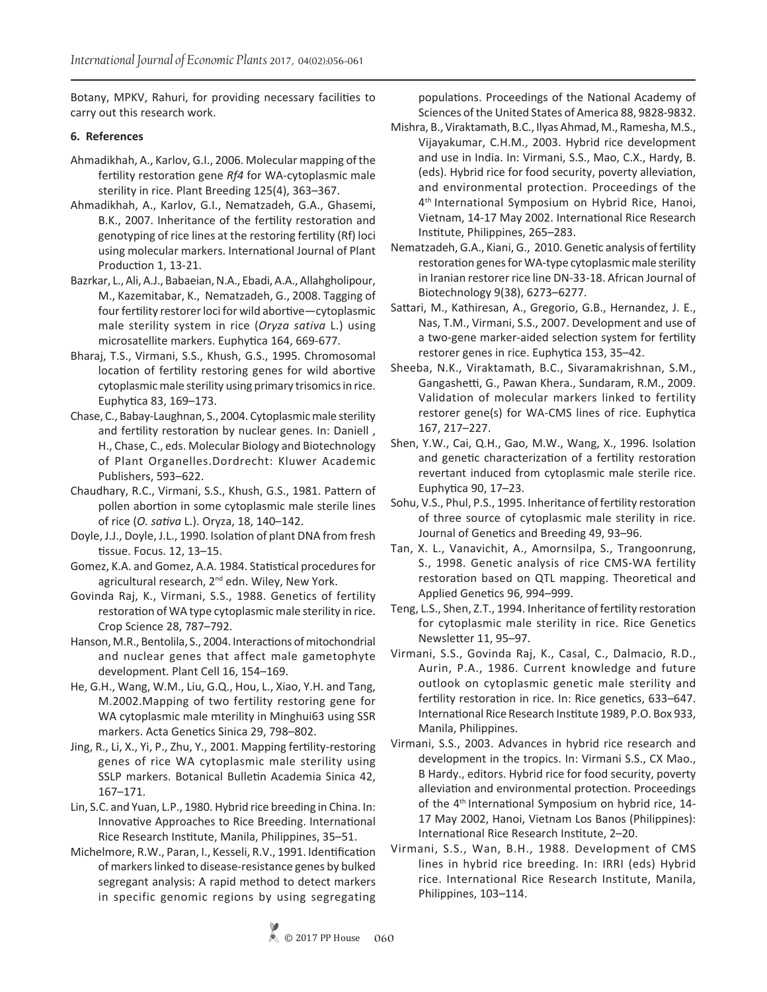Botany, MPKV, Rahuri, for providing necessary facilities to carry out this research work.

# **6. References**

- Ahmadikhah, A., Karlov, G.I., 2006. Molecular mapping of the fertility restoration gene *Rf4* for WA-cytoplasmic male sterility in rice. Plant Breeding 125(4), 363–367.
- Ahmadikhah, A., Karlov, G.I., Nematzadeh, G.A., Ghasemi, B.K., 2007. Inheritance of the fertility restoration and genotyping of rice lines at the restoring fertility (Rf) loci using molecular markers. International Journal of Plant Production 1, 13-21.
- Bazrkar, L., Ali, A.J., Babaeian, N.A., Ebadi, A.A., Allahgholipour, M., Kazemitabar, K., Nematzadeh, G., 2008. Tagging of four fertility restorer loci for wild abortive—cytoplasmic male sterility system in rice (*Oryza sativa* L.) using microsatellite markers. Euphytica 164, 669-677.
- Bharaj, T.S., Virmani, S.S., Khush, G.S., 1995. Chromosomal location of fertility restoring genes for wild abortive cytoplasmic male sterility using primary trisomics in rice. Euphytica 83, 169–173.
- Chase, C., Babay-Laughnan, S., 2004. Cytoplasmic male sterility and fertility restoration by nuclear genes. In: Daniell , H., Chase, C., eds. Molecular Biology and Biotechnology of Plant Organelles.Dordrecht: Kluwer Academic Publishers, 593–622.
- Chaudhary, R.C., Virmani, S.S., Khush, G.S., 1981. Pattern of pollen abortion in some cytoplasmic male sterile lines of rice (*O. sativa* L.). Oryza, 18, 140–142.
- Doyle, J.J., Doyle, J.L., 1990. Isolation of plant DNA from fresh tissue. Focus. 12, 13–15.
- Gomez, K.A. and Gomez, A.A. 1984. Statistical procedures for agricultural research, 2<sup>nd</sup> edn. Wiley, New York.
- Govinda Raj, K., Virmani, S.S., 1988. Genetics of fertility restoration of WA type cytoplasmic male sterility in rice. Crop Science 28, 787–792.
- Hanson, M.R., Bentolila, S., 2004. Interactions of mitochondrial and nuclear genes that affect male gametophyte development. Plant Cell 16, 154–169.
- He, G.H., Wang, W.M., Liu, G.Q., Hou, L., Xiao, Y.H. and Tang, M.2002.Mapping of two fertility restoring gene for WA cytoplasmic male mterility in Minghui63 using SSR markers. Acta Genetics Sinica 29, 798–802.
- Jing, R., Li, X., Yi, P., Zhu, Y., 2001. Mapping fertility-restoring genes of rice WA cytoplasmic male sterility using SSLP markers. Botanical Bulletin Academia Sinica 42, 167–171.
- Lin, S.C. and Yuan, L.P., 1980. Hybrid rice breeding in China. In: Innovative Approaches to Rice Breeding. International Rice Research Institute, Manila, Philippines, 35–51.
- Michelmore, R.W., Paran, I., Kesseli, R.V., 1991. Identification of markers linked to disease-resistance genes by bulked segregant analysis: A rapid method to detect markers in specific genomic regions by using segregating

populations. Proceedings of the National Academy of Sciences of the United States of America 88, 9828-9832.

- Mishra, B., Viraktamath, B.C., Ilyas Ahmad, M., Ramesha, M.S., Vijayakumar, C.H.M., 2003. Hybrid rice development and use in India. In: Virmani, S.S., Mao, C.X., Hardy, B. (eds). Hybrid rice for food security, poverty alleviation, and environmental protection. Proceedings of the 4<sup>th</sup> International Symposium on Hybrid Rice, Hanoi, Vietnam, 14-17 May 2002. International Rice Research Institute, Philippines, 265–283.
- Nematzadeh, G.A., Kiani, G., 2010. Genetic analysis of fertility restoration genes for WA-type cytoplasmic male sterility in Iranian restorer rice line DN-33-18. African Journal of Biotechnology 9(38), 6273–6277.
- Sattari, M., Kathiresan, A., Gregorio, G.B., Hernandez, J. E., Nas, T.M., Virmani, S.S., 2007. Development and use of a two-gene marker-aided selection system for fertility restorer genes in rice. Euphytica 153, 35–42.
- Sheeba, N.K., Viraktamath, B.C., Sivaramakrishnan, S.M., Gangashetti, G., Pawan Khera., Sundaram, R.M., 2009. Validation of molecular markers linked to fertility restorer gene(s) for WA-CMS lines of rice. Euphytica 167, 217–227.
- Shen, Y.W., Cai, Q.H., Gao, M.W., Wang, X., 1996. Isolation and genetic characterization of a fertility restoration revertant induced from cytoplasmic male sterile rice. Euphytica 90, 17–23.
- Sohu, V.S., Phul, P.S., 1995. Inheritance of fertility restoration of three source of cytoplasmic male sterility in rice. Journal of Genetics and Breeding 49, 93–96.
- Tan, X. L., Vanavichit, A., Amornsilpa, S., Trangoonrung, S., 1998. Genetic analysis of rice CMS-WA fertility restoration based on QTL mapping. Theoretical and Applied Genetics 96, 994–999.
- Teng, L.S., Shen, Z.T., 1994. Inheritance of fertility restoration for cytoplasmic male sterility in rice. Rice Genetics Newsletter 11, 95–97.
- Virmani, S.S., Govinda Raj, K., Casal, C., Dalmacio, R.D., Aurin, P.A., 1986. Current knowledge and future outlook on cytoplasmic genetic male sterility and fertility restoration in rice. In: Rice genetics, 633–647. International Rice Research Institute 1989, P.O. Box 933, Manila, Philippines.
- Virmani, S.S., 2003. Advances in hybrid rice research and development in the tropics. In: Virmani S.S., CX Mao., B Hardy., editors. Hybrid rice for food security, poverty alleviation and environmental protection. Proceedings of the 4<sup>th</sup> International Symposium on hybrid rice, 14-17 May 2002, Hanoi, Vietnam Los Banos (Philippines): International Rice Research Institute, 2–20.
- Virmani, S.S., Wan, B.H., 1988. Development of CMS lines in hybrid rice breeding. In: IRRI (eds) Hybrid rice. International Rice Research Institute, Manila, Philippines, 103–114.